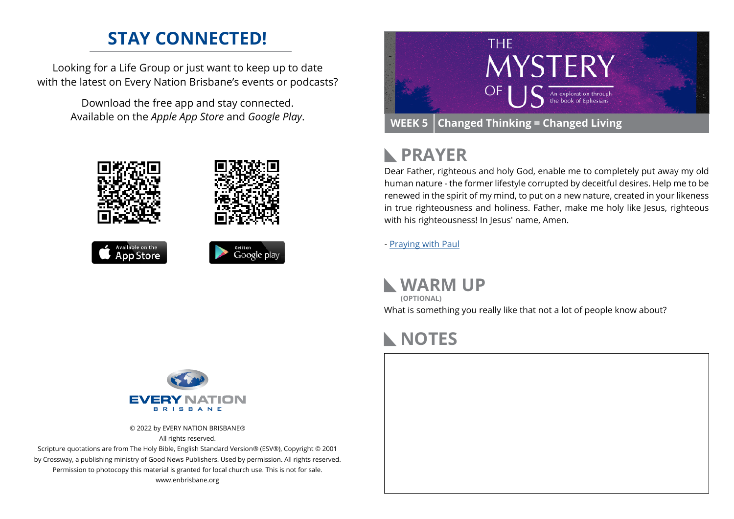### **STAY CONNECTED!**

Looking for a Life Group or just want to keep up to date with the latest on Every Nation Brisbane's events or podcasts?

> Download the free app and stay connected. Available on the *Apple App Store* and *Google Play*.











#### **PRAYER**  $\mathbb{R}$

Dear Father, righteous and holy God, enable me to completely put away my old human nature - the former lifestyle corrupted by deceitful desires. Help me to be renewed in the spirit of my mind, to put on a new nature, created in your likeness in true righteousness and holiness. Father, make me holy like Jesus, righteous with his righteousness! In Jesus' name, Amen.

- [Praying with Paul](https://www.heartlight.org/cgi-shl/praying_paul/pwp.pl?301)

**WARM UP** What is something you really like that not a lot of people know about? **(OPTIONAL)**

### **NOTES**



© 2022 by EVERY NATION BRISBANE® All rights reserved.

Scripture quotations are from The Holy Bible, English Standard Version® (ESV®), Copyright © 2001 by Crossway, a publishing ministry of Good News Publishers. Used by permission. All rights reserved. Permission to photocopy this material is granted for local church use. This is not for sale. www.enbrisbane.org